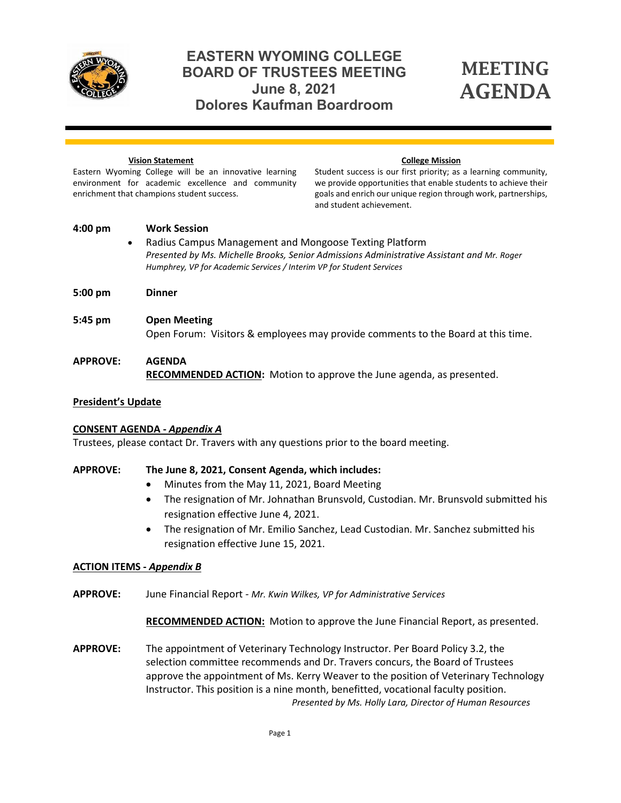

# **EASTERN WYOMING COLLEGE BOARD OF TRUSTEES MEETING June 8, 2021 Dolores Kaufman Boardroom**

# MEETING AGENDA

#### **Vision Statement**

#### **College Mission**

Eastern Wyoming College will be an innovative learning environment for academic excellence and community enrichment that champions student success.

Student success is our first priority; as a learning community, we provide opportunities that enable students to achieve their goals and enrich our unique region through work, partnerships, and student achievement.

- **4:00 pm Work Session** • Radius Campus Management and Mongoose Texting Platform *Presented by Ms. Michelle Brooks, Senior Admissions Administrative Assistant and Mr. Roger Humphrey, VP for Academic Services / Interim VP for Student Services*
- **5:00 pm Dinner**
- **5:45 pm Open Meeting** Open Forum: Visitors & employees may provide comments to the Board at this time.

## **APPROVE: AGENDA RECOMMENDED ACTION:** Motion to approve the June agenda, as presented.

#### **President's Update**

## **CONSENT AGENDA -** *Appendix A*

Trustees, please contact Dr. Travers with any questions prior to the board meeting.

## **APPROVE: The June 8, 2021, Consent Agenda, which includes:**

- Minutes from the May 11, 2021, Board Meeting
- The resignation of Mr. Johnathan Brunsvold, Custodian. Mr. Brunsvold submitted his resignation effective June 4, 2021.
- The resignation of Mr. Emilio Sanchez, Lead Custodian. Mr. Sanchez submitted his resignation effective June 15, 2021.

## **ACTION ITEMS -** *Appendix B*

**APPROVE:** June Financial Report *- Mr. Kwin Wilkes, VP for Administrative Services*

**RECOMMENDED ACTION:** Motion to approve the June Financial Report, as presented.

**APPROVE:** The appointment of Veterinary Technology Instructor. Per Board Policy 3.2, the selection committee recommends and Dr. Travers concurs, the Board of Trustees approve the appointment of Ms. Kerry Weaver to the position of Veterinary Technology Instructor. This position is a nine month, benefitted, vocational faculty position. *Presented by Ms. Holly Lara, Director of Human Resources*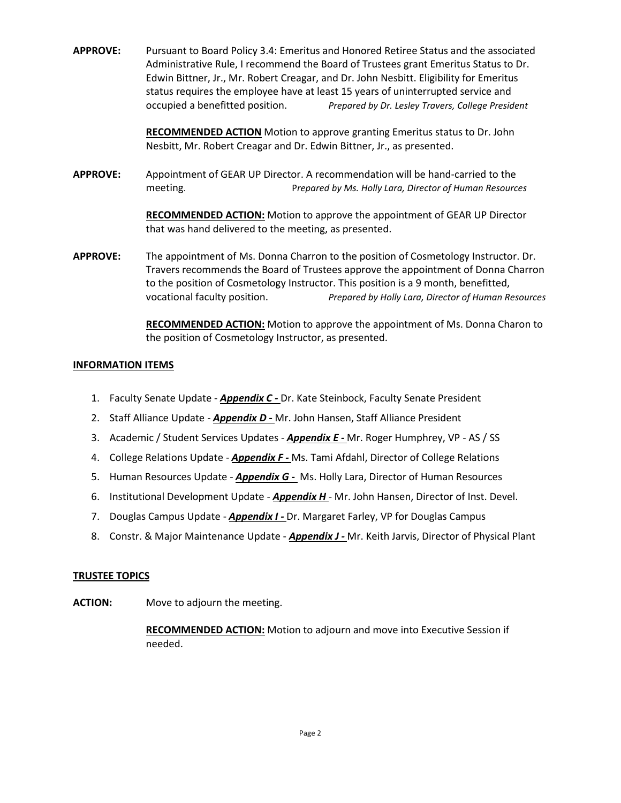**APPROVE:** Pursuant to Board Policy 3.4: Emeritus and Honored Retiree Status and the associated Administrative Rule, I recommend the Board of Trustees grant Emeritus Status to Dr. Edwin Bittner, Jr., Mr. Robert Creagar, and Dr. John Nesbitt. Eligibility for Emeritus status requires the employee have at least 15 years of uninterrupted service and occupied a benefitted position. *Prepared by Dr. Lesley Travers, College President*

> **RECOMMENDED ACTION** Motion to approve granting Emeritus status to Dr. John Nesbitt, Mr. Robert Creagar and Dr. Edwin Bittner, Jr., as presented.

**APPROVE:** Appointment of GEAR UP Director. A recommendation will be hand-carried to the meeting. P*repared by Ms. Holly Lara, Director of Human Resources*

> **RECOMMENDED ACTION:** Motion to approve the appointment of GEAR UP Director that was hand delivered to the meeting, as presented.

**APPROVE:** The appointment of Ms. Donna Charron to the position of Cosmetology Instructor. Dr. Travers recommends the Board of Trustees approve the appointment of Donna Charron to the position of Cosmetology Instructor. This position is a 9 month, benefitted, vocational faculty position. *Prepared by Holly Lara, Director of Human Resources*

> **RECOMMENDED ACTION:** Motion to approve the appointment of Ms. Donna Charon to the position of Cosmetology Instructor, as presented.

#### **INFORMATION ITEMS**

- 1. Faculty Senate Update *Appendix C -* Dr. Kate Steinbock, Faculty Senate President
- 2. Staff Alliance Update *Appendix D -* Mr. John Hansen, Staff Alliance President
- 3. Academic / Student Services Updates *Appendix E -* Mr. Roger Humphrey, VP AS / SS
- 4. College Relations Update *Appendix F -* Ms. Tami Afdahl, Director of College Relations
- 5. Human Resources Update *Appendix G -* Ms. Holly Lara, Director of Human Resources
- 6. Institutional Development Update *Appendix H* Mr. John Hansen, Director of Inst. Devel.
- 7. Douglas Campus Update *Appendix I -* Dr. Margaret Farley, VP for Douglas Campus
- 8. Constr. & Major Maintenance Update *Appendix J -* Mr. Keith Jarvis, Director of Physical Plant

#### **TRUSTEE TOPICS**

**ACTION:** Move to adjourn the meeting.

**RECOMMENDED ACTION:** Motion to adjourn and move into Executive Session if needed.